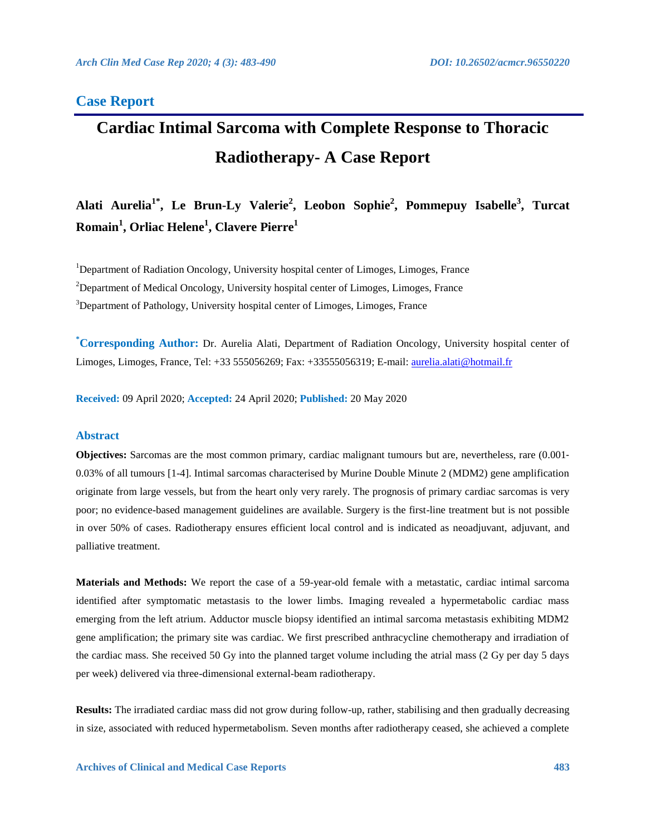## **Case Report**

# **Cardiac Intimal Sarcoma with Complete Response to Thoracic Radiotherapy- A Case Report**

**Alati Aurelia1\* , Le Brun-Ly Valerie<sup>2</sup> , Leobon Sophie<sup>2</sup> , Pommepuy Isabelle<sup>3</sup> , Turcat Romain<sup>1</sup> , Orliac Helene<sup>1</sup> , Clavere Pierre<sup>1</sup>**

<sup>1</sup>Department of Radiation Oncology, University hospital center of Limoges, Limoges, France <sup>2</sup>Department of Medical Oncology, University hospital center of Limoges, Limoges, France  $3$ Department of Pathology, University hospital center of Limoges, Limoges, France

**\*Corresponding Author:** Dr. Aurelia Alati, Department of Radiation Oncology, University hospital center of Limoges, Limoges, France, Tel: +33 555056269; Fax: +33555056319; E-mail: [aurelia.alati@hotmail.fr](mailto:aurelia.alati@hotmail.fr)

**Received:** 09 April 2020; **Accepted:** 24 April 2020; **Published:** 20 May 2020

## **Abstract**

**Objectives:** Sarcomas are the most common primary, cardiac malignant tumours but are, nevertheless, rare (0.001– 0.03% of all tumours [1-4]. Intimal sarcomas characterised by Murine Double Minute 2 (MDM2) gene amplification originate from large vessels, but from the heart only very rarely. The prognosis of primary cardiac sarcomas is very poor; no evidence-based management guidelines are available. Surgery is the first-line treatment but is not possible in over 50% of cases. Radiotherapy ensures efficient local control and is indicated as neoadjuvant, adjuvant, and palliative treatment.

**Materials and Methods:** We report the case of a 59-year-old female with a metastatic, cardiac intimal sarcoma identified after symptomatic metastasis to the lower limbs. Imaging revealed a hypermetabolic cardiac mass emerging from the left atrium. Adductor muscle biopsy identified an intimal sarcoma metastasis exhibiting MDM2 gene amplification; the primary site was cardiac. We first prescribed anthracycline chemotherapy and irradiation of the cardiac mass. She received 50 Gy into the planned target volume including the atrial mass (2 Gy per day 5 days per week) delivered via three-dimensional external-beam radiotherapy.

**Results:** The irradiated cardiac mass did not grow during follow-up, rather, stabilising and then gradually decreasing in size, associated with reduced hypermetabolism. Seven months after radiotherapy ceased, she achieved a complete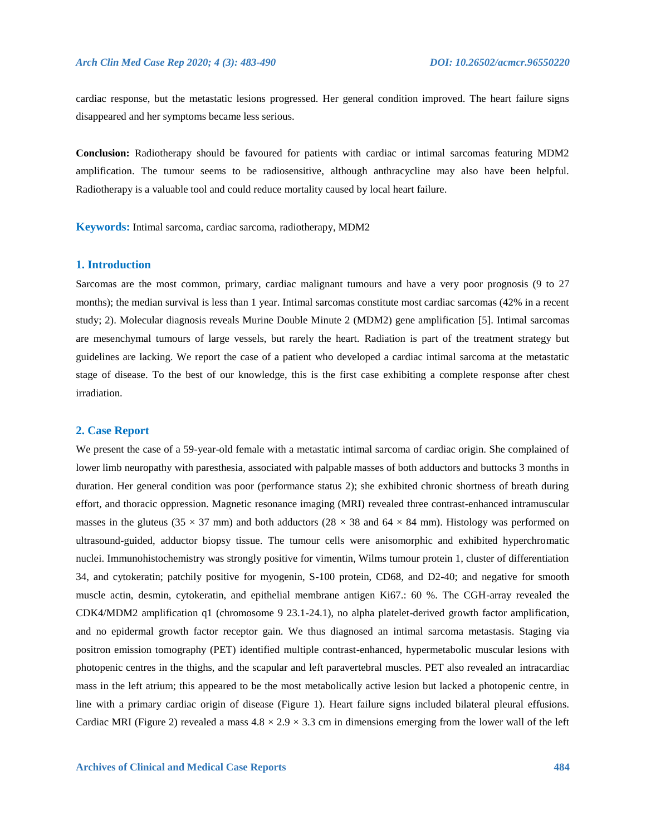cardiac response, but the metastatic lesions progressed. Her general condition improved. The heart failure signs disappeared and her symptoms became less serious.

**Conclusion:** Radiotherapy should be favoured for patients with cardiac or intimal sarcomas featuring MDM2 amplification. The tumour seems to be radiosensitive, although anthracycline may also have been helpful. Radiotherapy is a valuable tool and could reduce mortality caused by local heart failure.

**Keywords:** Intimal sarcoma, cardiac sarcoma, radiotherapy, MDM2

### **1. Introduction**

Sarcomas are the most common, primary, cardiac malignant tumours and have a very poor prognosis (9 to 27 months); the median survival is less than 1 year. Intimal sarcomas constitute most cardiac sarcomas (42% in a recent study; 2). Molecular diagnosis reveals Murine Double Minute 2 (MDM2) gene amplification [5]. Intimal sarcomas are mesenchymal tumours of large vessels, but rarely the heart. Radiation is part of the treatment strategy but guidelines are lacking. We report the case of a patient who developed a cardiac intimal sarcoma at the metastatic stage of disease. To the best of our knowledge, this is the first case exhibiting a complete response after chest irradiation.

#### **2. Case Report**

We present the case of a 59-year-old female with a metastatic intimal sarcoma of cardiac origin. She complained of lower limb neuropathy with paresthesia, associated with palpable masses of both adductors and buttocks 3 months in duration. Her general condition was poor (performance status 2); she exhibited chronic shortness of breath during effort, and thoracic oppression. Magnetic resonance imaging (MRI) revealed three contrast-enhanced intramuscular masses in the gluteus (35  $\times$  37 mm) and both adductors (28  $\times$  38 and 64  $\times$  84 mm). Histology was performed on ultrasound-guided, adductor biopsy tissue. The tumour cells were anisomorphic and exhibited hyperchromatic nuclei. Immunohistochemistry was strongly positive for vimentin, Wilms tumour protein 1, cluster of differentiation 34, and cytokeratin; patchily positive for myogenin, S-100 protein, CD68, and D2-40; and negative for smooth muscle actin, desmin, cytokeratin, and epithelial membrane antigen Ki67.: 60 %. The CGH-array revealed the CDK4/MDM2 amplification q1 (chromosome 9 23.1-24.1), no alpha platelet-derived growth factor amplification, and no epidermal growth factor receptor gain. We thus diagnosed an intimal sarcoma metastasis. Staging via positron emission tomography (PET) identified multiple contrast-enhanced, hypermetabolic muscular lesions with photopenic centres in the thighs, and the scapular and left paravertebral muscles. PET also revealed an intracardiac mass in the left atrium; this appeared to be the most metabolically active lesion but lacked a photopenic centre, in line with a primary cardiac origin of disease (Figure 1). Heart failure signs included bilateral pleural effusions. Cardiac MRI (Figure 2) revealed a mass  $4.8 \times 2.9 \times 3.3$  cm in dimensions emerging from the lower wall of the left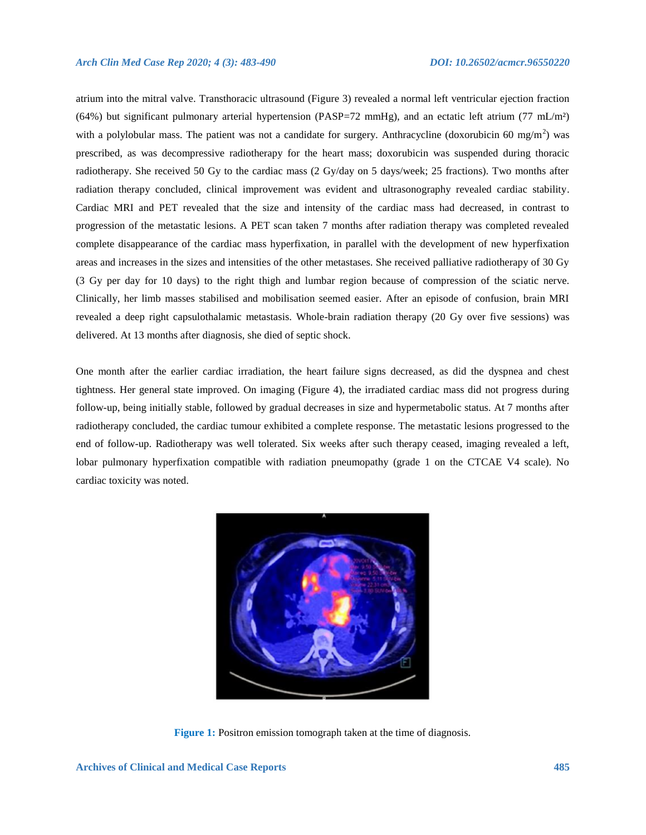atrium into the mitral valve. Transthoracic ultrasound (Figure 3) revealed a normal left ventricular ejection fraction (64%) but significant pulmonary arterial hypertension (PASP=72 mmHg), and an ectatic left atrium (77 mL/m²) with a polylobular mass. The patient was not a candidate for surgery. Anthracycline (doxorubicin 60 mg/m<sup>2</sup>) was prescribed, as was decompressive radiotherapy for the heart mass; doxorubicin was suspended during thoracic radiotherapy. She received 50 Gy to the cardiac mass (2 Gy/day on 5 days/week; 25 fractions). Two months after radiation therapy concluded, clinical improvement was evident and ultrasonography revealed cardiac stability. Cardiac MRI and PET revealed that the size and intensity of the cardiac mass had decreased, in contrast to progression of the metastatic lesions. A PET scan taken 7 months after radiation therapy was completed revealed complete disappearance of the cardiac mass hyperfixation, in parallel with the development of new hyperfixation areas and increases in the sizes and intensities of the other metastases. She received palliative radiotherapy of 30 Gy (3 Gy per day for 10 days) to the right thigh and lumbar region because of compression of the sciatic nerve. Clinically, her limb masses stabilised and mobilisation seemed easier. After an episode of confusion, brain MRI revealed a deep right capsulothalamic metastasis. Whole-brain radiation therapy (20 Gy over five sessions) was delivered. At 13 months after diagnosis, she died of septic shock.

One month after the earlier cardiac irradiation, the heart failure signs decreased, as did the dyspnea and chest tightness. Her general state improved. On imaging (Figure 4), the irradiated cardiac mass did not progress during follow-up, being initially stable, followed by gradual decreases in size and hypermetabolic status. At 7 months after radiotherapy concluded, the cardiac tumour exhibited a complete response. The metastatic lesions progressed to the end of follow-up. Radiotherapy was well tolerated. Six weeks after such therapy ceased, imaging revealed a left, lobar pulmonary hyperfixation compatible with radiation pneumopathy (grade 1 on the CTCAE V4 scale). No cardiac toxicity was noted.



**Figure 1:** Positron emission tomograph taken at the time of diagnosis.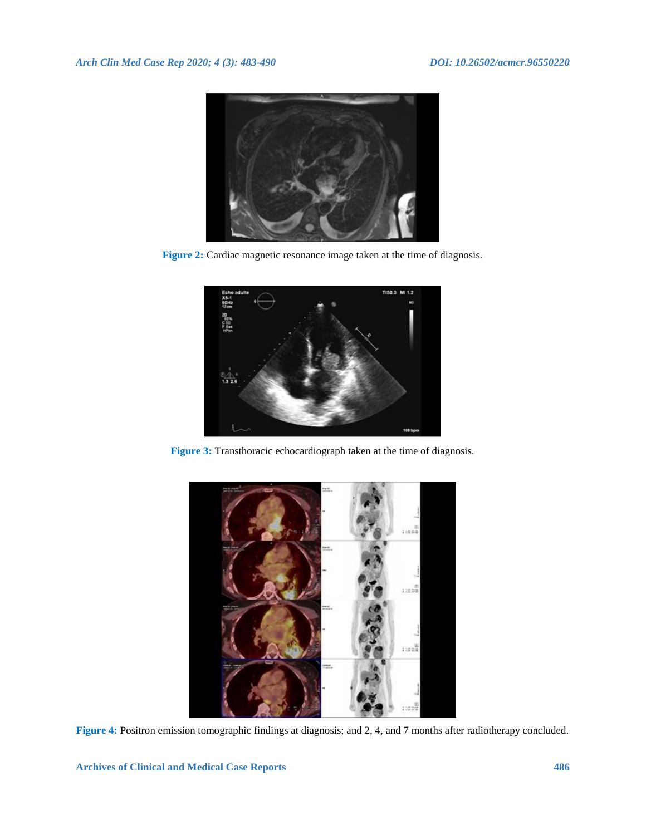

**Figure 2:** Cardiac magnetic resonance image taken at the time of diagnosis.



**Figure 3:** Transthoracic echocardiograph taken at the time of diagnosis.



**Figure 4:** Positron emission tomographic findings at diagnosis; and 2, 4, and 7 months after radiotherapy concluded.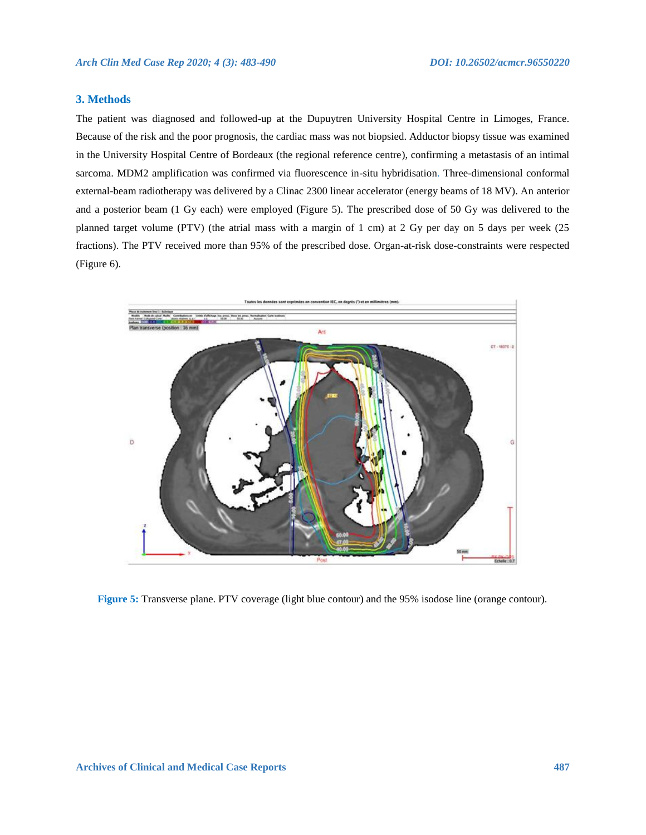## **3. Methods**

The patient was diagnosed and followed-up at the Dupuytren University Hospital Centre in Limoges, France. Because of the risk and the poor prognosis, the cardiac mass was not biopsied. Adductor biopsy tissue was examined in the University Hospital Centre of Bordeaux (the regional reference centre), confirming a metastasis of an intimal sarcoma. MDM2 amplification was confirmed via fluorescence in-situ hybridisation. Three-dimensional conformal external-beam radiotherapy was delivered by a Clinac 2300 linear accelerator (energy beams of 18 MV). An anterior and a posterior beam (1 Gy each) were employed (Figure 5). The prescribed dose of 50 Gy was delivered to the planned target volume (PTV) (the atrial mass with a margin of 1 cm) at 2 Gy per day on 5 days per week (25 fractions). The PTV received more than 95% of the prescribed dose. Organ-at-risk dose-constraints were respected (Figure 6).



**Figure 5:** Transverse plane. PTV coverage (light blue contour) and the 95% isodose line (orange contour).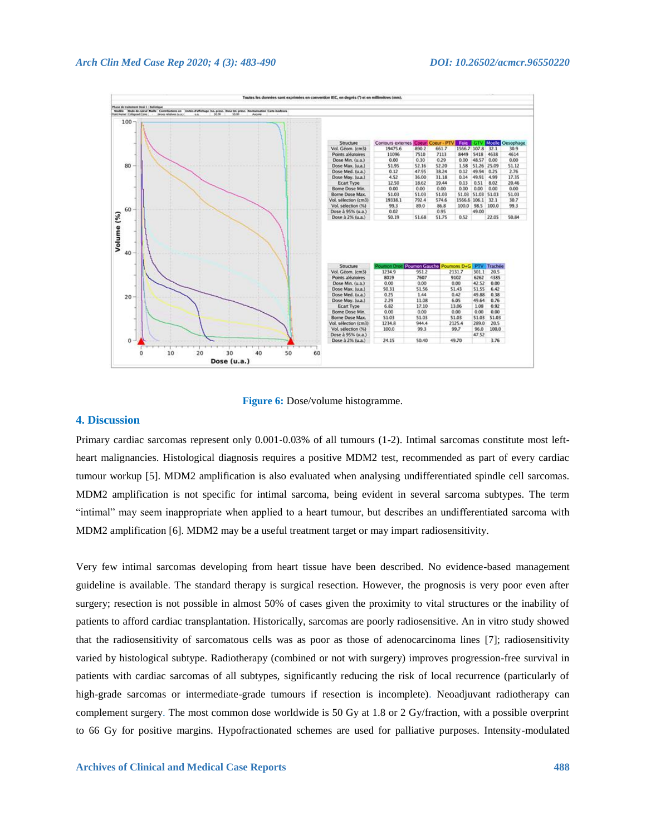



## **4. Discussion**

Primary cardiac sarcomas represent only 0.001‐0.03% of all tumours (1-2). Intimal sarcomas constitute most leftheart malignancies. Histological diagnosis requires a positive MDM2 test, recommended as part of every cardiac tumour workup [5]. MDM2 amplification is also evaluated when analysing undifferentiated spindle cell sarcomas. MDM2 amplification is not specific for intimal sarcoma, being evident in several sarcoma subtypes. The term "intimal" may seem inappropriate when applied to a heart tumour, but describes an undifferentiated sarcoma with MDM2 amplification [6]. MDM2 may be a useful treatment target or may impart radiosensitivity.

Very few intimal sarcomas developing from heart tissue have been described. No evidence-based management guideline is available. The standard therapy is surgical resection. However, the prognosis is very poor even after surgery; resection is not possible in almost 50% of cases given the proximity to vital structures or the inability of patients to afford cardiac transplantation. Historically, sarcomas are poorly radiosensitive. An in vitro study showed that the radiosensitivity of sarcomatous cells was as poor as those of adenocarcinoma lines [7]; radiosensitivity varied by histological subtype. Radiotherapy (combined or not with surgery) improves progression-free survival in patients with cardiac sarcomas of all subtypes, significantly reducing the risk of local recurrence (particularly of high-grade sarcomas or intermediate-grade tumours if resection is incomplete). Neoadjuvant radiotherapy can complement surgery. The most common dose worldwide is 50 Gy at 1.8 or 2 Gy/fraction, with a possible overprint to 66 Gy for positive margins. Hypofractionated schemes are used for palliative purposes. Intensity-modulated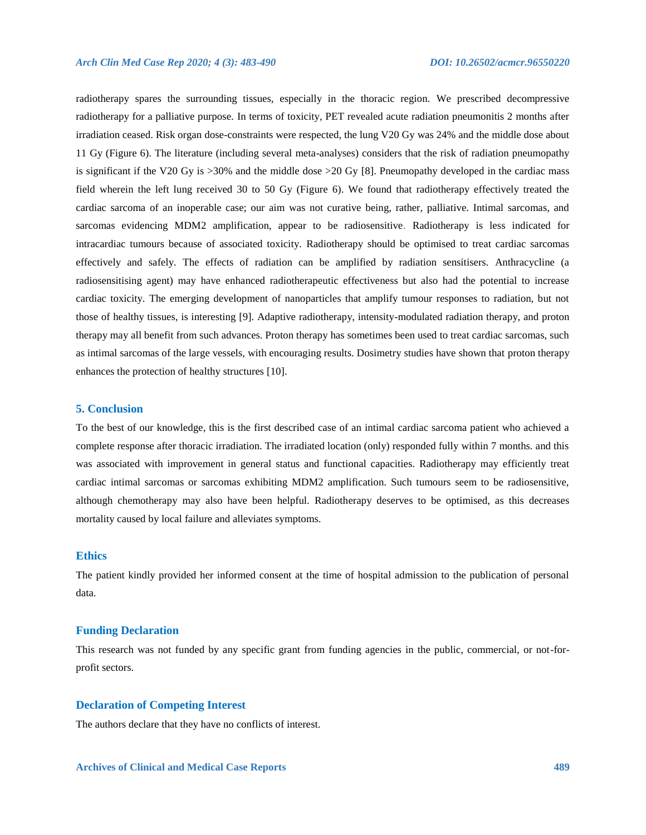radiotherapy spares the surrounding tissues, especially in the thoracic region. We prescribed decompressive radiotherapy for a palliative purpose. In terms of toxicity, PET revealed acute radiation pneumonitis 2 months after irradiation ceased. Risk organ dose-constraints were respected, the lung V20 Gy was 24% and the middle dose about 11 Gy (Figure 6). The literature (including several meta-analyses) considers that the risk of radiation pneumopathy is significant if the V20 Gy is >30% and the middle dose >20 Gy [8]. Pneumopathy developed in the cardiac mass field wherein the left lung received 30 to 50 Gy (Figure 6). We found that radiotherapy effectively treated the cardiac sarcoma of an inoperable case; our aim was not curative being, rather, palliative. Intimal sarcomas, and sarcomas evidencing MDM2 amplification, appear to be radiosensitive. Radiotherapy is less indicated for intracardiac tumours because of associated toxicity. Radiotherapy should be optimised to treat cardiac sarcomas effectively and safely. The effects of radiation can be amplified by radiation sensitisers. Anthracycline (a radiosensitising agent) may have enhanced radiotherapeutic effectiveness but also had the potential to increase cardiac toxicity. The emerging development of nanoparticles that amplify tumour responses to radiation, but not those of healthy tissues, is interesting [9]. Adaptive radiotherapy, intensity-modulated radiation therapy, and proton therapy may all benefit from such advances. Proton therapy has sometimes been used to treat cardiac sarcomas, such as intimal sarcomas of the large vessels, with encouraging results. Dosimetry studies have shown that proton therapy enhances the protection of healthy structures [10].

#### **5. Conclusion**

To the best of our knowledge, this is the first described case of an intimal cardiac sarcoma patient who achieved a complete response after thoracic irradiation. The irradiated location (only) responded fully within 7 months. and this was associated with improvement in general status and functional capacities. Radiotherapy may efficiently treat cardiac intimal sarcomas or sarcomas exhibiting MDM2 amplification. Such tumours seem to be radiosensitive, although chemotherapy may also have been helpful. Radiotherapy deserves to be optimised, as this decreases mortality caused by local failure and alleviates symptoms.

## **Ethics**

The patient kindly provided her informed consent at the time of hospital admission to the publication of personal data.

#### **Funding Declaration**

This research was not funded by any specific grant from funding agencies in the public, commercial, or not-forprofit sectors.

#### **Declaration of Competing Interest**

The authors declare that they have no conflicts of interest.